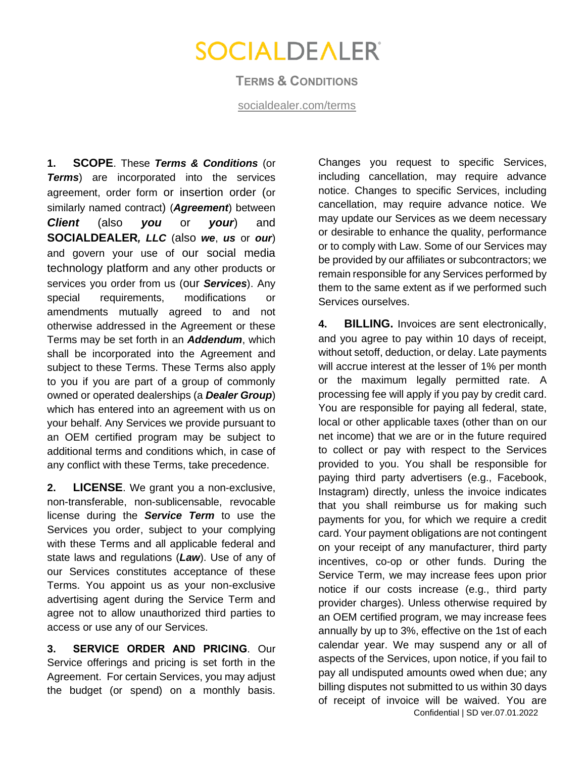### **TERMS & CONDITIONS**

[socialdealer.com/terms](http://www.socialdealer.com/terms)

**1. SCOPE**. These *Terms & Conditions* (or *Terms*) are incorporated into the services agreement, order form or insertion order (or similarly named contract) (*Agreement*) between *Client* (also *you* or *your*) and **SOCIALDEALER***, LLC* (also *we*, *us* or *our*) and govern your use of our social media technology platform and any other products or services you order from us (our *Services*). Any special requirements, modifications or amendments mutually agreed to and not otherwise addressed in the Agreement or these Terms may be set forth in an *Addendum*, which shall be incorporated into the Agreement and subject to these Terms. These Terms also apply to you if you are part of a group of commonly owned or operated dealerships (a *Dealer Group*) which has entered into an agreement with us on your behalf. Any Services we provide pursuant to an OEM certified program may be subject to additional terms and conditions which, in case of any conflict with these Terms, take precedence.

**2. LICENSE**. We grant you a non-exclusive, non-transferable, non-sublicensable, revocable license during the *Service Term* to use the Services you order, subject to your complying with these Terms and all applicable federal and state laws and regulations (*Law*). Use of any of our Services constitutes acceptance of these Terms. You appoint us as your non-exclusive advertising agent during the Service Term and agree not to allow unauthorized third parties to access or use any of our Services.

**3. SERVICE ORDER AND PRICING**. Our Service offerings and pricing is set forth in the Agreement. For certain Services, you may adjust the budget (or spend) on a monthly basis. Changes you request to specific Services, including cancellation, may require advance notice. Changes to specific Services, including cancellation, may require advance notice. We may update our Services as we deem necessary or desirable to enhance the quality, performance or to comply with Law. Some of our Services may be provided by our affiliates or subcontractors; we remain responsible for any Services performed by them to the same extent as if we performed such Services ourselves.

Confidential | SD ver.07.01.2022 **4. BILLING.** Invoices are sent electronically, and you agree to pay within 10 days of receipt, without setoff, deduction, or delay. Late payments will accrue interest at the lesser of 1% per month or the maximum legally permitted rate. A processing fee will apply if you pay by credit card. You are responsible for paying all federal, state, local or other applicable taxes (other than on our net income) that we are or in the future required to collect or pay with respect to the Services provided to you. You shall be responsible for paying third party advertisers (e.g., Facebook, Instagram) directly, unless the invoice indicates that you shall reimburse us for making such payments for you, for which we require a credit card. Your payment obligations are not contingent on your receipt of any manufacturer, third party incentives, co-op or other funds. During the Service Term, we may increase fees upon prior notice if our costs increase (e.g., third party provider charges). Unless otherwise required by an OEM certified program, we may increase fees annually by up to 3%, effective on the 1st of each calendar year. We may suspend any or all of aspects of the Services, upon notice, if you fail to pay all undisputed amounts owed when due; any billing disputes not submitted to us within 30 days of receipt of invoice will be waived. You are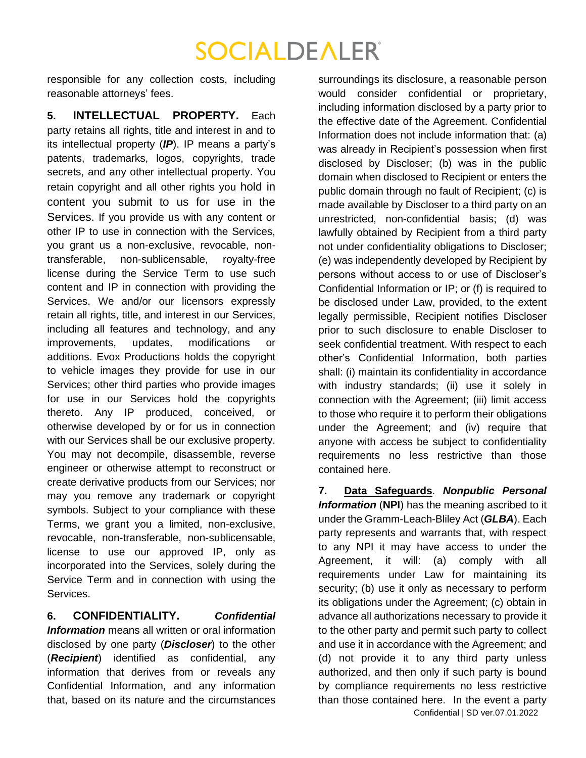responsible for any collection costs, including reasonable attorneys' fees.

**5. INTELLECTUAL PROPERTY.** Each party retains all rights, title and interest in and to its intellectual property (*IP*). IP means a party's patents, trademarks, logos, copyrights, trade secrets, and any other intellectual property. You retain copyright and all other rights you hold in content you submit to us for use in the Services. If you provide us with any content or other IP to use in connection with the Services, you grant us a non-exclusive, revocable, nontransferable, non-sublicensable, royalty-free license during the Service Term to use such content and IP in connection with providing the Services. We and/or our licensors expressly retain all rights, title, and interest in our Services, including all features and technology, and any improvements, updates, modifications or additions. Evox Productions holds the copyright to vehicle images they provide for use in our Services; other third parties who provide images for use in our Services hold the copyrights thereto. Any IP produced, conceived, or otherwise developed by or for us in connection with our Services shall be our exclusive property. You may not decompile, disassemble, reverse engineer or otherwise attempt to reconstruct or create derivative products from our Services; nor may you remove any trademark or copyright symbols. Subject to your compliance with these Terms, we grant you a limited, non-exclusive, revocable, non-transferable, non-sublicensable, license to use our approved IP, only as incorporated into the Services, solely during the Service Term and in connection with using the Services.

**6. CONFIDENTIALITY.** *Confidential Information* means all written or oral information disclosed by one party (*Discloser*) to the other (*Recipient*) identified as confidential, any information that derives from or reveals any Confidential Information, and any information that, based on its nature and the circumstances

surroundings its disclosure, a reasonable person would consider confidential or proprietary, including information disclosed by a party prior to the effective date of the Agreement. Confidential Information does not include information that: (a) was already in Recipient's possession when first disclosed by Discloser; (b) was in the public domain when disclosed to Recipient or enters the public domain through no fault of Recipient; (c) is made available by Discloser to a third party on an unrestricted, non-confidential basis; (d) was lawfully obtained by Recipient from a third party not under confidentiality obligations to Discloser; (e) was independently developed by Recipient by persons without access to or use of Discloser's Confidential Information or IP; or (f) is required to be disclosed under Law, provided, to the extent legally permissible, Recipient notifies Discloser prior to such disclosure to enable Discloser to seek confidential treatment. With respect to each other's Confidential Information, both parties shall: (i) maintain its confidentiality in accordance with industry standards; (ii) use it solely in connection with the Agreement; (iii) limit access to those who require it to perform their obligations under the Agreement; and (iv) require that anyone with access be subject to confidentiality requirements no less restrictive than those contained here.

Confidential | SD ver.07.01.2022 **7. Data Safeguards**. *Nonpublic Personal Information* (**NPI**) has the meaning ascribed to it under the Gramm-Leach-Bliley Act (*GLBA*). Each party represents and warrants that, with respect to any NPI it may have access to under the Agreement, it will: (a) comply with all requirements under Law for maintaining its security; (b) use it only as necessary to perform its obligations under the Agreement; (c) obtain in advance all authorizations necessary to provide it to the other party and permit such party to collect and use it in accordance with the Agreement; and (d) not provide it to any third party unless authorized, and then only if such party is bound by compliance requirements no less restrictive than those contained here. In the event a party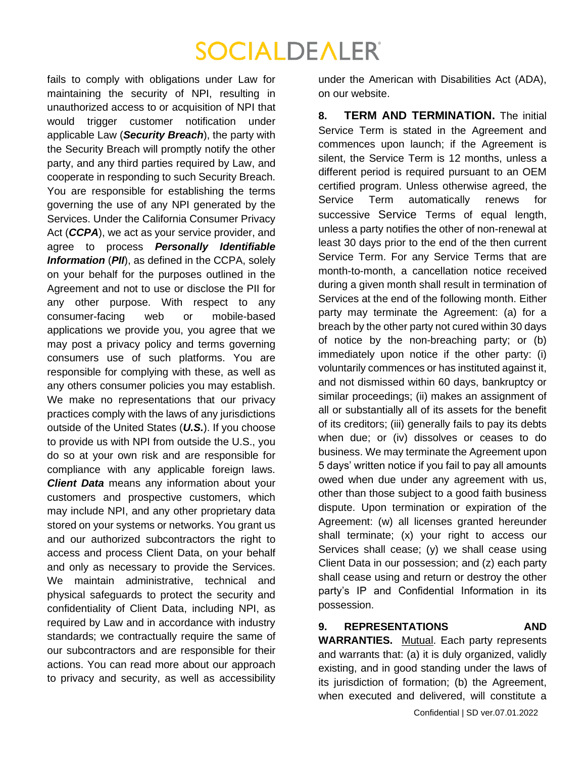fails to comply with obligations under Law for maintaining the security of NPI, resulting in unauthorized access to or acquisition of NPI that would trigger customer notification under applicable Law (*Security Breach*), the party with the Security Breach will promptly notify the other party, and any third parties required by Law, and cooperate in responding to such Security Breach. You are responsible for establishing the terms governing the use of any NPI generated by the Services. Under the California Consumer Privacy Act (*CCPA*), we act as your service provider, and agree to process *Personally Identifiable Information* (*PII*), as defined in the CCPA, solely on your behalf for the purposes outlined in the Agreement and not to use or disclose the PII for any other purpose. With respect to any consumer-facing web or mobile-based applications we provide you, you agree that we may post a privacy policy and terms governing consumers use of such platforms. You are responsible for complying with these, as well as any others consumer policies you may establish. We make no representations that our privacy practices comply with the laws of any jurisdictions outside of the United States (*U.S.*). If you choose to provide us with NPI from outside the U.S., you do so at your own risk and are responsible for compliance with any applicable foreign laws. *Client Data* means any information about your customers and prospective customers, which may include NPI, and any other proprietary data stored on your systems or networks. You grant us and our authorized subcontractors the right to access and process Client Data, on your behalf and only as necessary to provide the Services. We maintain administrative, technical and physical safeguards to protect the security and confidentiality of Client Data, including NPI, as required by Law and in accordance with industry standards; we contractually require the same of our subcontractors and are responsible for their actions. You can read more about our approach to privacy and security, as well as accessibility

under the American with Disabilities Act (ADA), on our website.

**8. TERM AND TERMINATION.** The initial Service Term is stated in the Agreement and commences upon launch; if the Agreement is silent, the Service Term is 12 months, unless a different period is required pursuant to an OEM certified program. Unless otherwise agreed, the Service Term automatically renews for successive Service Terms of equal length, unless a party notifies the other of non-renewal at least 30 days prior to the end of the then current Service Term. For any Service Terms that are month-to-month, a cancellation notice received during a given month shall result in termination of Services at the end of the following month. Either party may terminate the Agreement: (a) for a breach by the other party not cured within 30 days of notice by the non-breaching party; or (b) immediately upon notice if the other party: (i) voluntarily commences or has instituted against it, and not dismissed within 60 days, bankruptcy or similar proceedings; (ii) makes an assignment of all or substantially all of its assets for the benefit of its creditors; (iii) generally fails to pay its debts when due; or (iv) dissolves or ceases to do business. We may terminate the Agreement upon 5 days' written notice if you fail to pay all amounts owed when due under any agreement with us, other than those subject to a good faith business dispute. Upon termination or expiration of the Agreement: (w) all licenses granted hereunder shall terminate; (x) your right to access our Services shall cease; (y) we shall cease using Client Data in our possession; and (z) each party shall cease using and return or destroy the other party's IP and Confidential Information in its possession.

#### **9. REPRESENTATIONS AND WARRANTIES.** Mutual. Each party represents and warrants that: (a) it is duly organized, validly

existing, and in good standing under the laws of its jurisdiction of formation; (b) the Agreement,

Confidential | SD ver.07.01.2022 when executed and delivered, will constitute a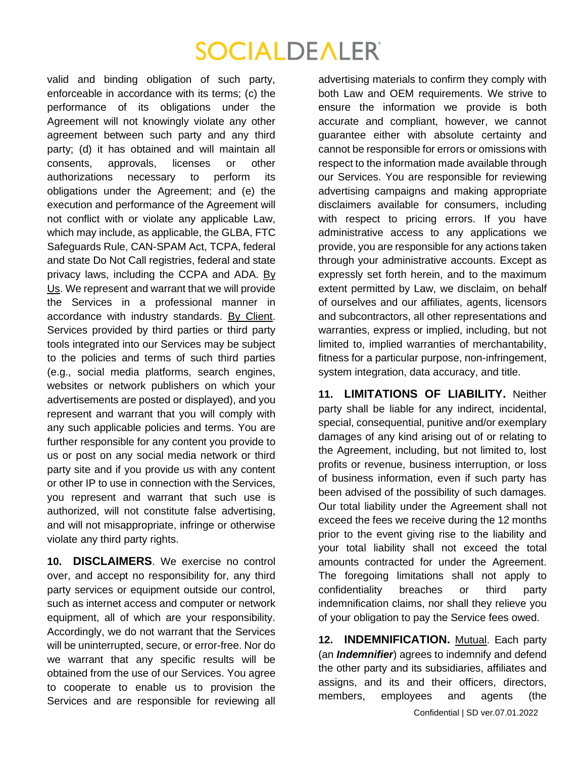valid and binding obligation of such party, enforceable in accordance with its terms; (c) the performance of its obligations under the Agreement will not knowingly violate any other agreement between such party and any third party; (d) it has obtained and will maintain all consents, approvals, licenses or other authorizations necessary to perform its obligations under the Agreement; and (e) the execution and performance of the Agreement will not conflict with or violate any applicable Law, which may include, as applicable, the GLBA, FTC Safeguards Rule, CAN-SPAM Act, TCPA, federal and state Do Not Call registries, federal and state privacy laws, including the CCPA and ADA. By Us. We represent and warrant that we will provide the Services in a professional manner in accordance with industry standards. By Client. Services provided by third parties or third party tools integrated into our Services may be subject to the policies and terms of such third parties (e.g., social media platforms, search engines, websites or network publishers on which your advertisements are posted or displayed), and you represent and warrant that you will comply with any such applicable policies and terms. You are further responsible for any content you provide to us or post on any social media network or third party site and if you provide us with any content or other IP to use in connection with the Services, you represent and warrant that such use is authorized, will not constitute false advertising, and will not misappropriate, infringe or otherwise violate any third party rights.

**10. DISCLAIMERS**. We exercise no control over, and accept no responsibility for, any third party services or equipment outside our control, such as internet access and computer or network equipment, all of which are your responsibility. Accordingly, we do not warrant that the Services will be uninterrupted, secure, or error-free. Nor do we warrant that any specific results will be obtained from the use of our Services. You agree to cooperate to enable us to provision the Services and are responsible for reviewing all advertising materials to confirm they comply with both Law and OEM requirements. We strive to ensure the information we provide is both accurate and compliant, however, we cannot guarantee either with absolute certainty and cannot be responsible for errors or omissions with respect to the information made available through our Services. You are responsible for reviewing advertising campaigns and making appropriate disclaimers available for consumers, including with respect to pricing errors. If you have administrative access to any applications we provide, you are responsible for any actions taken through your administrative accounts. Except as expressly set forth herein, and to the maximum extent permitted by Law, we disclaim, on behalf of ourselves and our affiliates, agents, licensors and subcontractors, all other representations and warranties, express or implied, including, but not limited to, implied warranties of merchantability, fitness for a particular purpose, non-infringement, system integration, data accuracy, and title.

**11. LIMITATIONS OF LIABILITY.** Neither party shall be liable for any indirect, incidental, special, consequential, punitive and/or exemplary damages of any kind arising out of or relating to the Agreement, including, but not limited to, lost profits or revenue, business interruption, or loss of business information, even if such party has been advised of the possibility of such damages. Our total liability under the Agreement shall not exceed the fees we receive during the 12 months prior to the event giving rise to the liability and your total liability shall not exceed the total amounts contracted for under the Agreement. The foregoing limitations shall not apply to confidentiality breaches or third party indemnification claims, nor shall they relieve you of your obligation to pay the Service fees owed.

**12. INDEMNIFICATION.** Mutual. Each party (an *Indemnifier*) agrees to indemnify and defend the other party and its subsidiaries, affiliates and assigns, and its and their officers, directors, members, employees and agents (the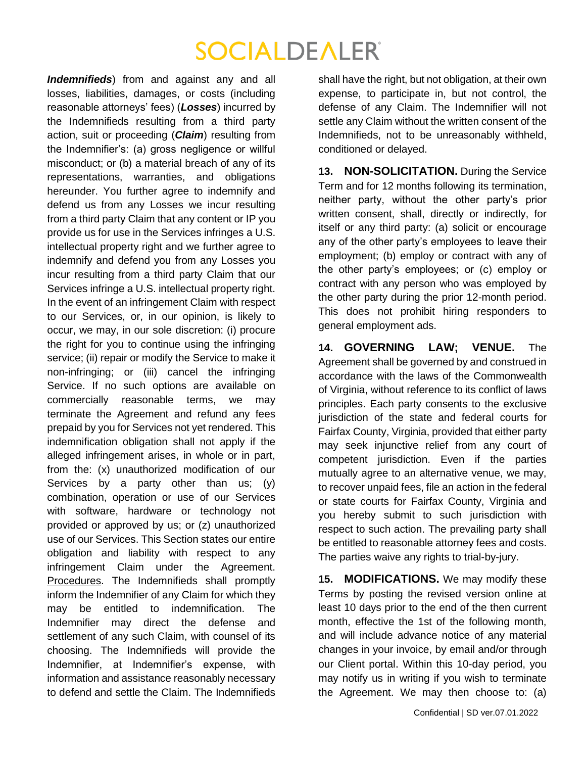*Indemnifieds*) from and against any and all losses, liabilities, damages, or costs (including reasonable attorneys' fees) (*Losses*) incurred by the Indemnifieds resulting from a third party action, suit or proceeding (*Claim*) resulting from the Indemnifier's: (a) gross negligence or willful misconduct; or (b) a material breach of any of its representations, warranties, and obligations hereunder. You further agree to indemnify and defend us from any Losses we incur resulting from a third party Claim that any content or IP you provide us for use in the Services infringes a U.S. intellectual property right and we further agree to indemnify and defend you from any Losses you incur resulting from a third party Claim that our Services infringe a U.S. intellectual property right. In the event of an infringement Claim with respect to our Services, or, in our opinion, is likely to occur, we may, in our sole discretion: (i) procure the right for you to continue using the infringing service; (ii) repair or modify the Service to make it non-infringing; or (iii) cancel the infringing Service. If no such options are available on commercially reasonable terms, we may terminate the Agreement and refund any fees prepaid by you for Services not yet rendered. This indemnification obligation shall not apply if the alleged infringement arises, in whole or in part, from the: (x) unauthorized modification of our Services by a party other than us;  $(y)$ combination, operation or use of our Services with software, hardware or technology not provided or approved by us; or (z) unauthorized use of our Services. This Section states our entire obligation and liability with respect to any infringement Claim under the Agreement. Procedures. The Indemnifieds shall promptly inform the Indemnifier of any Claim for which they may be entitled to indemnification. The Indemnifier may direct the defense and settlement of any such Claim, with counsel of its choosing. The Indemnifieds will provide the Indemnifier, at Indemnifier's expense, with information and assistance reasonably necessary to defend and settle the Claim. The Indemnifieds

shall have the right, but not obligation, at their own expense, to participate in, but not control, the defense of any Claim. The Indemnifier will not settle any Claim without the written consent of the Indemnifieds, not to be unreasonably withheld, conditioned or delayed.

**13. NON-SOLICITATION.** During the Service Term and for 12 months following its termination, neither party, without the other party's prior written consent, shall, directly or indirectly, for itself or any third party: (a) solicit or encourage any of the other party's employees to leave their employment; (b) employ or contract with any of the other party's employees; or (c) employ or contract with any person who was employed by the other party during the prior 12-month period. This does not prohibit hiring responders to general employment ads.

**14. GOVERNING LAW; VENUE.** The Agreement shall be governed by and construed in accordance with the laws of the Commonwealth of Virginia, without reference to its conflict of laws principles. Each party consents to the exclusive jurisdiction of the state and federal courts for Fairfax County, Virginia, provided that either party may seek injunctive relief from any court of competent jurisdiction. Even if the parties mutually agree to an alternative venue, we may, to recover unpaid fees, file an action in the federal or state courts for Fairfax County, Virginia and you hereby submit to such jurisdiction with respect to such action. The prevailing party shall be entitled to reasonable attorney fees and costs. The parties waive any rights to trial-by-jury.

**15. MODIFICATIONS.** We may modify these Terms by posting the revised version online at least 10 days prior to the end of the then current month, effective the 1st of the following month, and will include advance notice of any material changes in your invoice, by email and/or through our Client portal. Within this 10-day period, you may notify us in writing if you wish to terminate the Agreement. We may then choose to: (a)